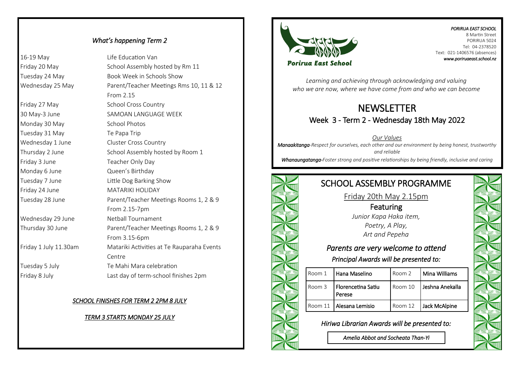#### *What's happening Term 2*

16-19 May Life Education Van Friday 20 May School Assembly hosted by Rm 11 Tuesday 24 May Book Week in Schools Show Wednesday 25 May Parent/Teacher Meetings Rms 10, 11 & 12

From 2.15 Friday 27 May School Cross Country 30 May-3 June SAMOAN LANGUAGE WEEK Monday 30 May School Photos Tuesday 31 May Te Papa Trip Wednesday 1 June Cluster Cross Country Thursday 2 June School Assembly hosted by Room 1 Friday 3 June Teacher Only Day Monday 6 June **Queen's Birthday** Tuesday 7 June Little Dog Barking Show Friday 24 June MATARIKI HOLIDAY Tuesday 28 June Parent/Teacher Meetings Rooms 1, 2 & 9 From 2.15-7pm Wednesday 29 June Netball Tournament Thursday 30 June Parent/Teacher Meetings Rooms 1, 2 & 9 From 3.15-6pm Friday 1 July 11.30am Matariki Activities at Te Rauparaha Events Centre Tuesday 5 July Te Mahi Mara celebration Friday 8 July Last day of term-school finishes 2pm

#### *SCHOOL FINISHES FOR TERM 2 2PM 8 JULY*

#### *TERM 3 STARTS MONDAY 25 JULY*



#### *PORIRUA EAST SCHOOL*  8 Martin Street PORIRUA 5024 Tel: 04-2378520 Text: 021-1406576 (absences) *www.poriruaeast.school.nz*

*Learning and achieving through acknowledging and valuing who we are now, where we have come from and who we can become*

## NEWSLETTER Week 3 - Term 2 - Wednesday 18th May 2022

*Our Values Manaakitanga-Respect for ourselves, each other and our environment by being honest, trustworthy and reliable* 

*Whanaungatanga-Foster strong and positive relationships by being friendly, inclusive and caring*

# SCHOOL ASSEMBLY PROGRAMME

Friday 20th May 2.15pm

Featuring *Junior Kapa Haka item, Poetry, A Play, Art and Pepeha* 

## *Parents are very welcome to attend*

*Principal Awards will be presented to:* 

|  | Room 1  | Hana Maselino                | Room 2  | Mina Williams     |
|--|---------|------------------------------|---------|-------------------|
|  | Room 3  | Florencetina Satiu<br>Perese | Room 10 | l Jeshna Anekalla |
|  | Room 11 | l Alesana Lemisio            | Room 12 | Jack McAlpine     |

*Hiriwa Librarian Awards will be presented to:* 

*Amelia Abbot and Socheata Than-Yi*